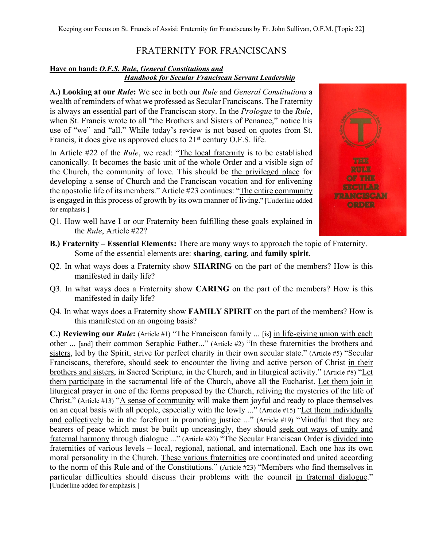## FRATERNITY FOR FRANCISCANS

## **Have on hand:** *O.F.S. Rule, General Constitutions and Handbook for Secular Franciscan Servant Leadership*

**A.) Looking at our** *Rule***:** We see in both our *Rule* and *General Constitutions* a wealth of reminders of what we professed as Secular Franciscans. The Fraternity is always an essential part of the Franciscan story. In the *Prologue* to the *Rule*, when St. Francis wrote to all "the Brothers and Sisters of Penance," notice his use of "we" and "all." While today's review is not based on quotes from St. Francis, it does give us approved clues to 21<sup>st</sup> century O.F.S. life.

In Article #22 of the *Rule*, we read: "The local fraternity is to be established canonically. It becomes the basic unit of the whole Order and a visible sign of the Church, the community of love. This should be the privileged place for developing a sense of Church and the Franciscan vocation and for enlivening the apostolic life of its members." Article #23 continues: "The entire community is engaged in this process of growth by its own manner of living." [Underline added for emphasis.]

- Q1. How well have I or our Fraternity been fulfilling these goals explained in the *Rule*, Article #22?
- **B.) Fraternity – Essential Elements:** There are many ways to approach the topic of Fraternity. Some of the essential elements are: **sharing**, **caring**, and **family spirit**.
- Q2. In what ways does a Fraternity show **SHARING** on the part of the members? How is this manifested in daily life?
- Q3. In what ways does a Fraternity show **CARING** on the part of the members? How is this manifested in daily life?
- Q4. In what ways does a Fraternity show **FAMILY SPIRIT** on the part of the members? How is this manifested on an ongoing basis?

**C.) Reviewing our** *Rule*: (Article #1) "The Franciscan family ... [is] in life-giving union with each other ... [and] their common Seraphic Father..." (Article #2) "In these fraternities the brothers and sisters, led by the Spirit, strive for perfect charity in their own secular state." (Article #5) "Secular Franciscans, therefore, should seek to encounter the living and active person of Christ in their brothers and sisters, in Sacred Scripture, in the Church, and in liturgical activity." (Article #8) "Let them participate in the sacramental life of the Church, above all the Eucharist. Let them join in liturgical prayer in one of the forms proposed by the Church, reliving the mysteries of the life of Christ." (Article #13) "A sense of community will make them joyful and ready to place themselves on an equal basis with all people, especially with the lowly ..." (Article #15) "Let them individually and collectively be in the forefront in promoting justice ..." (Article #19) "Mindful that they are bearers of peace which must be built up unceasingly, they should seek out ways of unity and fraternal harmony through dialogue ..." (Article #20) "The Secular Franciscan Order is divided into fraternities of various levels – local, regional, national, and international. Each one has its own moral personality in the Church. These various fraternities are coordinated and united according to the norm of this Rule and of the Constitutions." (Article #23) "Members who find themselves in particular difficulties should discuss their problems with the council in fraternal dialogue." [Underline added for emphasis.]